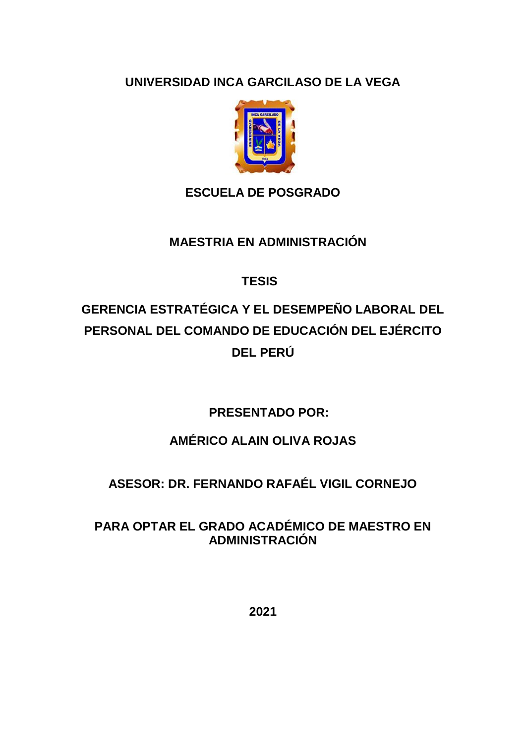**UNIVERSIDAD INCA GARCILASO DE LA VEGA**



## **ESCUELA DE POSGRADO**

### **MAESTRIA EN ADMINISTRACIÓN**

# **TESIS**

# **GERENCIA ESTRATÉGICA Y EL DESEMPEÑO LABORAL DEL PERSONAL DEL COMANDO DE EDUCACIÓN DEL EJÉRCITO DEL PERÚ**

 **PRESENTADO POR:**

# **AMÉRICO ALAIN OLIVA ROJAS**

# **ASESOR: DR. FERNANDO RAFAÉL VIGIL CORNEJO**

### **PARA OPTAR EL GRADO ACADÉMICO DE MAESTRO EN ADMINISTRACIÓN**

**2021**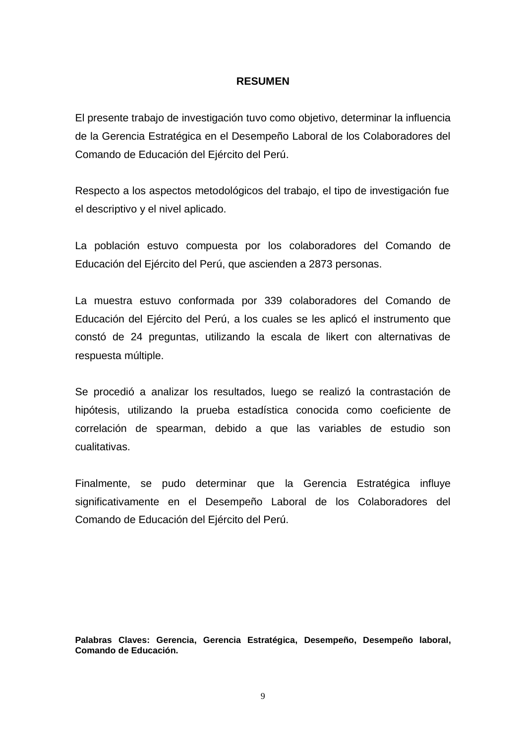#### **RESUMEN**

El presente trabajo de investigación tuvo como objetivo, determinar la influencia de la Gerencia Estratégica en el Desempeño Laboral de los Colaboradores del Comando de Educación del Ejército del Perú.

Respecto a los aspectos metodológicos del trabajo, el tipo de investigación fue el descriptivo y el nivel aplicado.

La población estuvo compuesta por los colaboradores del Comando de Educación del Ejército del Perú, que ascienden a 2873 personas.

La muestra estuvo conformada por 339 colaboradores del Comando de Educación del Ejército del Perú, a los cuales se les aplicó el instrumento que constó de 24 preguntas, utilizando la escala de likert con alternativas de respuesta múltiple.

Se procedió a analizar los resultados, luego se realizó la contrastación de hipótesis, utilizando la prueba estadística conocida como coeficiente de correlación de spearman, debido a que las variables de estudio son cualitativas.

Finalmente, se pudo determinar que la Gerencia Estratégica influye significativamente en el Desempeño Laboral de los Colaboradores del Comando de Educación del Ejército del Perú.

**Palabras Claves: Gerencia, Gerencia Estratégica, Desempeño, Desempeño laboral, Comando de Educación.**

9